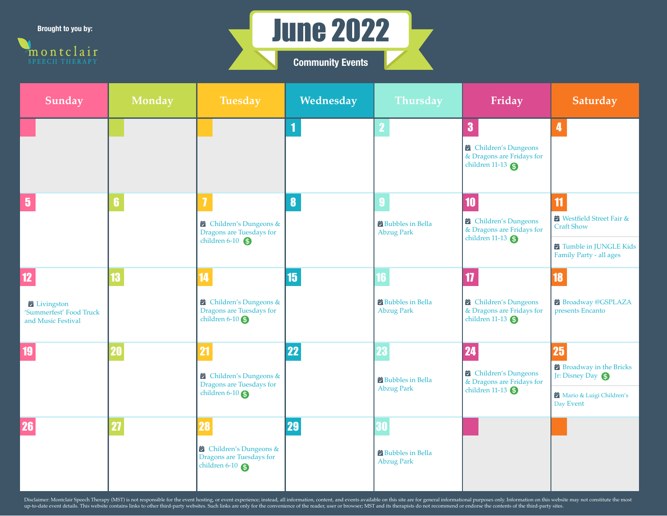**Brought to you by:**





| <b>Sunday</b>                                                                    | Monday | <b>Tuesday</b>                                                                            | Wednesday             | <b>Thursday</b>                              | Friday                                                                        | Saturday                                                  |
|----------------------------------------------------------------------------------|--------|-------------------------------------------------------------------------------------------|-----------------------|----------------------------------------------|-------------------------------------------------------------------------------|-----------------------------------------------------------|
|                                                                                  |        |                                                                                           |                       |                                              | 3<br>Children's Dungeons                                                      | 4                                                         |
|                                                                                  |        |                                                                                           |                       |                                              | & Dragons are Fridays for<br>children 11-13                                   |                                                           |
| $\overline{\mathbf{5}}$                                                          | 6      | $\overline{\mathbf{I}}$                                                                   | $\boldsymbol{\delta}$ |                                              | 10<br>Children's Dungeons<br>& Dragons are Fridays for<br>children 11-13      | 11<br><b>■</b> Westfield Street Fair &                    |
|                                                                                  |        | Children's Dungeons &<br>Dragons are Tuesdays for<br>children $6-10$                      |                       | <b>Bubbles</b> in Bella<br><b>Abzug Park</b> |                                                                               | <b>Craft Show</b>                                         |
|                                                                                  |        |                                                                                           |                       |                                              |                                                                               | <b>E</b> Tumble in JUNGLE Kids<br>Family Party - all ages |
| 12                                                                               |        | 14                                                                                        | 15                    |                                              | $\boldsymbol{\eta}$                                                           | 18                                                        |
| $\overrightarrow{a}$ Livingston<br>'Summerfest' Food Truck<br>and Music Festival |        | $\overrightarrow{a}$ Children's Dungeons &<br>Dragons are Tuesdays for<br>children $6-10$ |                       | <b>Bubbles</b> in Bella<br><b>Abzug Park</b> | Children's Dungeons<br>& Dragons are Fridays for<br>children 11-13 $\bigcirc$ | Broadway @GSPLAZA<br>presents Encanto                     |
|                                                                                  |        | 21                                                                                        | 22                    |                                              | 24                                                                            | 25                                                        |
|                                                                                  |        | Children's Dungeons &<br>Dragons are Tuesdays for<br>children $6-10$                      |                       | <b>Bubbles</b> in Bella<br><b>Abzug Park</b> | Children's Dungeons<br>& Dragons are Fridays for<br>children $11-13$          | Broadway in the Bricks<br>Jr: Disney Day                  |
|                                                                                  |        |                                                                                           |                       |                                              |                                                                               | Mario & Luigi Children's<br>Day Event                     |
| 26                                                                               |        | 28                                                                                        | 29                    |                                              |                                                                               |                                                           |
|                                                                                  |        | children's Dungeons &<br>Dragons are Tuesdays for<br>children $6-10$                      |                       | <b>Bubbles</b> in Bella<br><b>Abzug Park</b> |                                                                               |                                                           |

Disclaimer: Montclair Speech Therapy (MST) is not responsible for the event hosting, or event experience; instead, all information, content, and events available on this site are for general informational purposes only. In